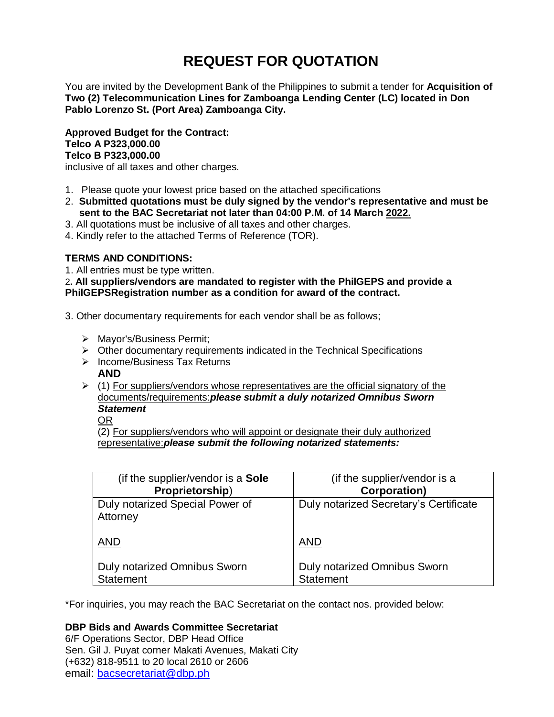# **REQUEST FOR QUOTATION**

You are invited by the Development Bank of the Philippines to submit a tender for **Acquisition of Two (2) Telecommunication Lines for Zamboanga Lending Center (LC) located in Don Pablo Lorenzo St. (Port Area) Zamboanga City.**

**Approved Budget for the Contract: Telco A P323,000.00 Telco B P323,000.00**

inclusive of all taxes and other charges.

- 1. Please quote your lowest price based on the attached specifications
- 2. **Submitted quotations must be duly signed by the vendor's representative and must be sent to the BAC Secretariat not later than 04:00 P.M. of 14 March 2022.**
- 3. All quotations must be inclusive of all taxes and other charges.
- 4. Kindly refer to the attached Terms of Reference (TOR).

# **TERMS AND CONDITIONS:**

1. All entries must be type written.

2**. All suppliers/vendors are mandated to register with the PhilGEPS and provide a PhilGEPSRegistration number as a condition for award of the contract.**

- 3. Other documentary requirements for each vendor shall be as follows;
	- > Mayor's/Business Permit;
	- $\triangleright$  Other documentary requirements indicated in the Technical Specifications
	- $\triangleright$  Income/Business Tax Returns **AND**
	- $(1)$  For suppliers/vendors whose representatives are the official signatory of the documents/requirements:*please submit a duly notarized Omnibus Sworn Statement*

OR

(2) For suppliers/vendors who will appoint or designate their duly authorized representative:*please submit the following notarized statements:*

| (if the supplier/vendor is a Sole           | (if the supplier/vendor is a           |
|---------------------------------------------|----------------------------------------|
| Proprietorship)                             | <b>Corporation)</b>                    |
| Duly notarized Special Power of<br>Attorney | Duly notarized Secretary's Certificate |
| <b>AND</b>                                  | <b>AND</b>                             |
| <b>Duly notarized Omnibus Sworn</b>         | Duly notarized Omnibus Sworn           |
| <b>Statement</b>                            | <b>Statement</b>                       |

\*For inquiries, you may reach the BAC Secretariat on the contact nos. provided below:

# **DBP Bids and Awards Committee Secretariat**

6/F Operations Sector, DBP Head Office Sen. Gil J. Puyat corner Makati Avenues, Makati City (+632) 818-9511 to 20 local 2610 or 2606 email: [bacsecretariat@dbp.ph](mailto:bacsecretariat@dbp.ph)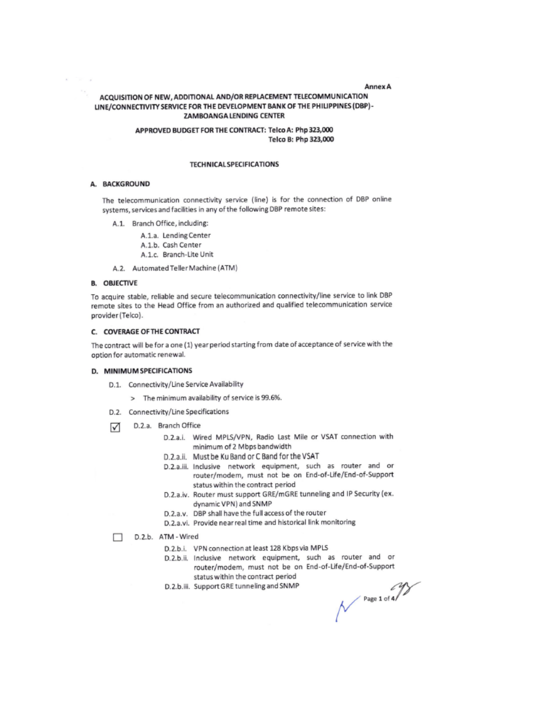#### **Annex A**

# ACQUISITION OF NEW, ADDITIONAL AND/OR REPLACEMENT TELECOMMUNICATION LINE/CONNECTIVITY SERVICE FOR THE DEVELOPMENT BANK OF THE PHILIPPINES (DBP)-**ZAMBOANGA LENDING CENTER**

# APPROVED BUDGET FOR THE CONTRACT: Telco A: Php 323,000 Telco B: Php 323,000

#### **TECHNICAL SPECIFICATIONS**

## A. BACKGROUND

The telecommunication connectivity service (line) is for the connection of DBP online systems, services and facilities in any of the following DBP remote sites:

- A.1. Branch Office, including:
	- A.1.a. Lending Center
	- A.1.b. Cash Center
	- A.1.c. Branch-Lite Unit
- A.2. Automated Teller Machine (ATM)

## **B. OBJECTIVE**

To acquire stable, reliable and secure telecommunication connectivity/line service to link DBP remote sites to the Head Office from an authorized and qualified telecommunication service provider (Telco).

#### C. COVERAGE OF THE CONTRACT

The contract will be for a one (1) year period starting from date of acceptance of service with the option for automatic renewal.

#### D. MINIMUM SPECIFICATIONS

- D.1. Connectivity/Line Service Availability
	- > The minimum availability of service is 99.6%.
- D.2. Connectivity/Line Specifications
- D.2.a. Branch Office ☑
	- D.2.a.i. Wired MPLS/VPN, Radio Last Mile or VSAT connection with minimum of 2 Mbps bandwidth
	- D.2.a.ii. Must be Ku Band or C Band for the VSAT
	- D.2.a.iii. Inclusive network equipment, such as router and or router/modem, must not be on End-of-Life/End-of-Support status within the contract period
	- D.2.a.iv. Router must support GRE/mGRE tunneling and IP Security (ex. dynamic VPN) and SNMP
	- D.2.a.v. DBP shall have the full access of the router
	- D.2.a.vi. Provide near real time and historical link monitoring
- D.2.b. ATM Wired п
	- D.2.b.i. VPN connection at least 128 Kbps via MPLS
	- D.2.b.ii. Inclusive network equipment, such as router and or router/modem, must not be on End-of-Life/End-of-Support status within the contract period
	- D.2.b.iii. Support GRE tunneling and SNMP

 $N^{p_{age 1 of 4}}$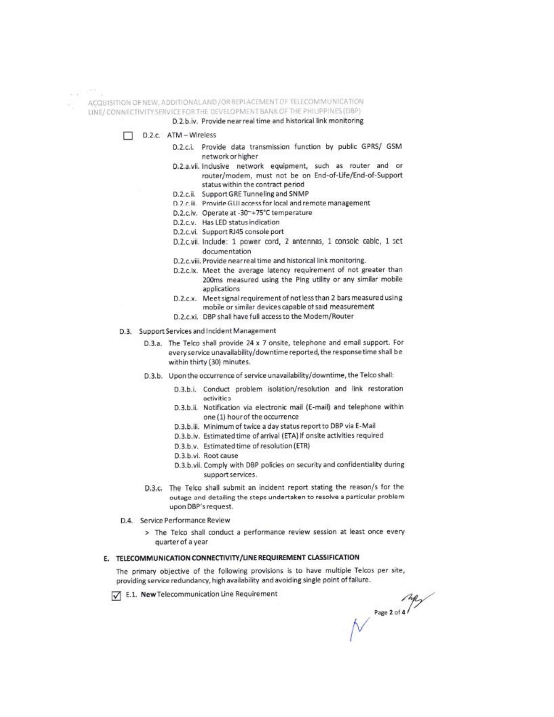$\mathcal{L}(\mathcal{L})$  . We have ACQUISITION OF NEW, ADDITIONAL AND / OR REPLACEMENT OF TELECOMMUNICATION LINE/ CONNECTIVITY SERVICE FOR THE DEVELOPMENT BANK OF THE PHILIPPINES (DBP)

## D.2.b.iv. Provide near real time and historical link monitoring

- D.2.c. ATM-Wireless
	- D.2.c.i. Provide data transmission function by public GPRS/ GSM network or higher
	- D.2.a.vii. Inclusive network equipment, such as router and or router/modem, must not be on End-of-Life/End-of-Support status within the contract period
	- D.2.c.ii. Support GRE Tunneling and SNMP
	- D.2 c.iii. Provide GUI access for local and remote management
	- D.2.c.iv. Operate at -30~+75°C temperature
	- D.2.c.v. Has LED status indication
	- D.2.c.vi. Support RJ45 console port
	- D.2.c.vii. Include: 1 power cord, 2 antennas, 1 consolc cable, 1 set documentation
	- D.2.c.viii. Provide near real time and historical link monitoring.
	- D.2.c.ix. Meet the average latency requirement of not greater than 200ms measured using the Ping utility or any similar mobile applications
	- D.2.c.x. Meet signal requirement of not less than 2 bars measured using mobile or similar devices capable of said measurement
	- D.2.c.xi. DBP shall have full access to the Modem/Router
- D.3. Support Services and Incident Management
	- D.3.a. The Telco shall provide 24 x 7 onsite, telephone and email support. For every service unavailability/downtime reported, the response time shall be within thirty (30) minutes.
	- D.3.b. Upon the occurrence of service unavailability/downtime, the Telco shall:
		- D.3.b.i. Conduct problem isolation/resolution and link restoration octivities
		- D.3.b.ii. Notification via electronic mail (E-mail) and telephone within one (1) hour of the occurrence
		- D.3.b.iii. Minimum of twice a day status report to DBP via E-Mail
		- D.3.b.iv. Estimated time of arrival (ETA) if onsite activities required
		- D.3.b.v. Estimated time of resolution (ETR)
		- D.3.b.vi. Root cause
		- D.3.b.vii. Comply with DBP policies on security and confidentiality during support services.
	- D.3.c. The Telco shall submit an incident report stating the reason/s for the outage and detailing the steps undertaken to resolve a particular problem upon DBP's request.
- D.4. Service Performance Review
	- > The Telco shall conduct a performance review session at least once every quarter of a year

# E. TELECOMMUNICATION CONNECTIVITY/LINE REQUIREMENT CLASSIFICATION

The primary objective of the following provisions is to have multiple Telcos per site, providing service redundancy, high availability and avoiding single point of failure.

E.1. New Telecommunication Line Requirement

Page 2 of 4/7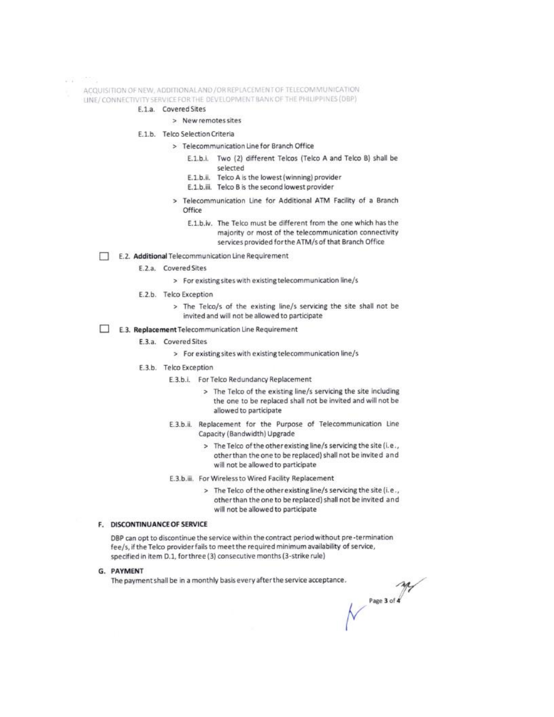0550 **997** 

- ACQUISITION OF NEW, ADDITIONALAND / OR REPLACEMENT OF TELECOMMUNICATION
- LINE/CONNECTIVITY SERVICE FOR THE DEVELOPMENT BANK OF THE PHILIPPINES (DBP)

# E.1.a. Covered Sites

- > New remotes sites
- E.1.b. Telco Selection Criteria
	- > Telecommunication Line for Branch Office
		- E.1.b.i. Two (2) different Telcos (Telco A and Telco B) shall be selected
		- E.1.b.ii. Telco A is the lowest (winning) provider
		- E.1.b.iii. Telco B is the second lowest provider
		- > Telecommunication Line for Additional ATM Facility of a Branch Office
			- E.1.b.iv. The Telco must be different from the one which has the majority or most of the telecommunication connectivity services provided for the ATM/s of that Branch Office

#### E.2. Additional Telecommunication Line Requirement

- E.2.a. Covered Sites
	- > For existing sites with existing telecommunication line/s
- E.2.b. Telco Exception
	- > The Telco/s of the existing line/s servicing the site shall not be invited and will not be allowed to participate
- E.3. Replacement Telecommunication Line Requirement
	- E.3.a. Covered Sites
		- > For existing sites with existing telecommunication line/s
	- E.3.b. Telco Exception
		- E.3.b.i. For Telco Redundancy Replacement
			- > The Telco of the existing line/s servicing the site including the one to be replaced shall not be invited and will not be allowed to participate
		- E.3.b.ii. Replacement for the Purpose of Telecommunication Line Capacity (Bandwidth) Upgrade
			- > The Telco of the other existing line/s servicing the site (i.e., other than the one to be replaced) shall not be invited and will not be allowed to participate
		- E.3.b.iii. For Wireless to Wired Facility Replacement
			- > The Telco of the other existing line/s servicing the site (i.e., other than the one to be replaced) shall not be invited and will not be allowed to participate

#### F. DISCONTINUANCE OF SERVICE

DBP can opt to discontinue the service within the contract period without pre-termination fee/s, if the Telco provider fails to meet the required minimum availability of service, specified in item D.1, for three (3) consecutive months (3-strike rule)

#### G. PAYMENT

The payment shall be in a monthly basis every after the service acceptance.

Page 3 of 4